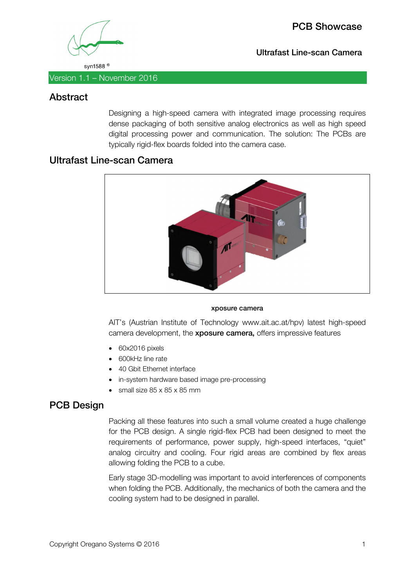

PCB Showcase

Ultrafast Line-scan Camera

syn1588<sup>®</sup>

Version 1.1 – November 2016

## Abstract

Designing a high-speed camera with integrated image processing requires dense packaging of both sensitive analog electronics as well as high speed digital processing power and communication. The solution: The PCBs are typically rigid-flex boards folded into the camera case.

## Ultrafast Line-scan Camera



#### xposure camera

AIT's (Austrian Institute of Technology www.ait.ac.at/hpv) latest high-speed camera development, the xposure camera, offers impressive features

- 60x2016 pixels
- 600kHz line rate
- 40 Gbit Ethernet interface
- in-system hardware based image pre-processing
- small size 85 x 85 x 85 mm

## PCB Design

Packing all these features into such a small volume created a huge challenge for the PCB design. A single rigid-flex PCB had been designed to meet the requirements of performance, power supply, high-speed interfaces, "quiet" analog circuitry and cooling. Four rigid areas are combined by flex areas allowing folding the PCB to a cube.

Early stage 3D-modelling was important to avoid interferences of components when folding the PCB. Additionally, the mechanics of both the camera and the cooling system had to be designed in parallel.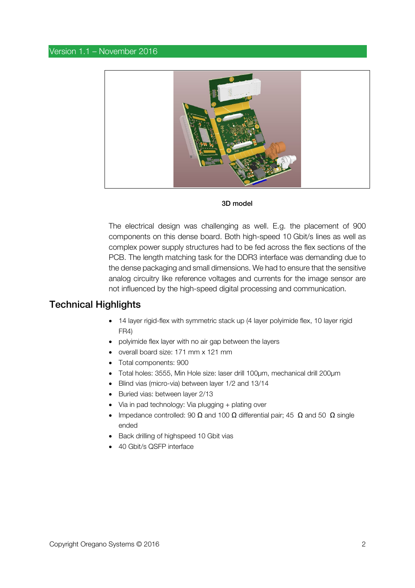#### Version 1.1 – November 2016



#### 3D model

The electrical design was challenging as well. E.g. the placement of 900 components on this dense board. Both high-speed 10 Gbit/s lines as well as complex power supply structures had to be fed across the flex sections of the PCB. The length matching task for the DDR3 interface was demanding due to the dense packaging and small dimensions. We had to ensure that the sensitive analog circuitry like reference voltages and currents for the image sensor are not influenced by the high-speed digital processing and communication.

### Technical Highlights

- 14 layer rigid-flex with symmetric stack up (4 layer polyimide flex, 10 layer rigid FR4)
- polyimide flex layer with no air gap between the layers
- overall board size: 171 mm x 121 mm
- Total components: 900
- Total holes: 3555, Min Hole size: laser drill 100µm, mechanical drill 200µm
- Blind vias (micro-via) between layer 1/2 and 13/14
- Buried vias: between layer 2/13
- Via in pad technology: Via plugging + plating over
- Impedance controlled: 90  $\Omega$  and 100  $\Omega$  differential pair; 45  $\Omega$  and 50  $\Omega$  single ended
- Back drilling of highspeed 10 Gbit vias
- 40 Gbit/s QSFP interface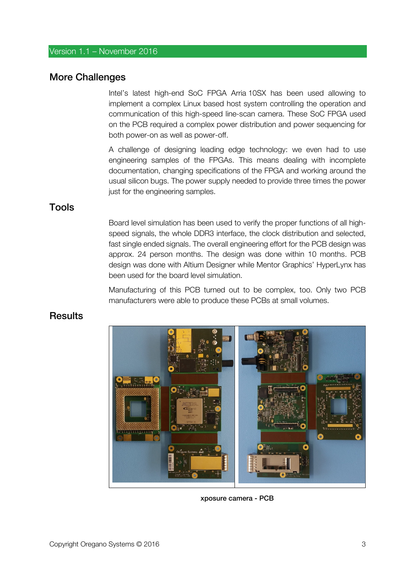#### Version 1.1 – November 2016

## More Challenges

Intel's latest high-end SoC FPGA Arria 10SX has been used allowing to implement a complex Linux based host system controlling the operation and communication of this high-speed line-scan camera. These SoC FPGA used on the PCB required a complex power distribution and power sequencing for both power-on as well as power-off.

A challenge of designing leading edge technology: we even had to use engineering samples of the FPGAs. This means dealing with incomplete documentation, changing specifications of the FPGA and working around the usual silicon bugs. The power supply needed to provide three times the power just for the engineering samples.

## Tools

Board level simulation has been used to verify the proper functions of all highspeed signals, the whole DDR3 interface, the clock distribution and selected, fast single ended signals. The overall engineering effort for the PCB design was approx. 24 person months. The design was done within 10 months. PCB design was done with Altium Designer while Mentor Graphics' HyperLynx has been used for the board level simulation.

Manufacturing of this PCB turned out to be complex, too. Only two PCB manufacturers were able to produce these PCBs at small volumes.

## **Results**



xposure camera - PCB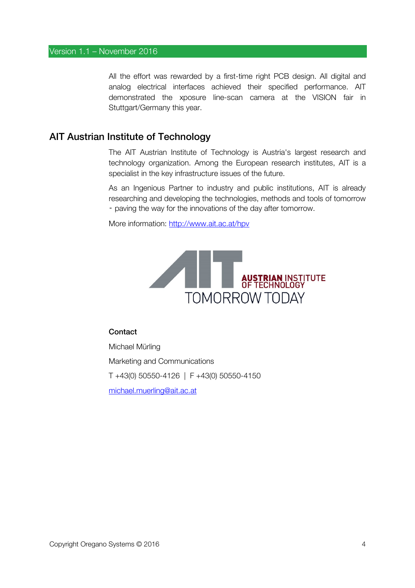All the effort was rewarded by a first-time right PCB design. All digital and analog electrical interfaces achieved their specified performance. AIT demonstrated the xposure line-scan camera at the VISION fair in Stuttgart/Germany this year.

## AIT Austrian Institute of Technology

The AIT Austrian Institute of Technology is Austria's largest research and technology organization. Among the European research institutes, AIT is a specialist in the key infrastructure issues of the future.

As an Ingenious Partner to industry and public institutions, AIT is already researching and developing the technologies, methods and tools of tomorrow ‑ paving the way for the innovations of the day after tomorrow.

More information: http://www.ait.ac.at/hpv



#### **Contact**

Michael Mürling Marketing and Communications T +43(0) 50550-4126 | F +43(0) 50550-4150 michael.muerling@ait.ac.at